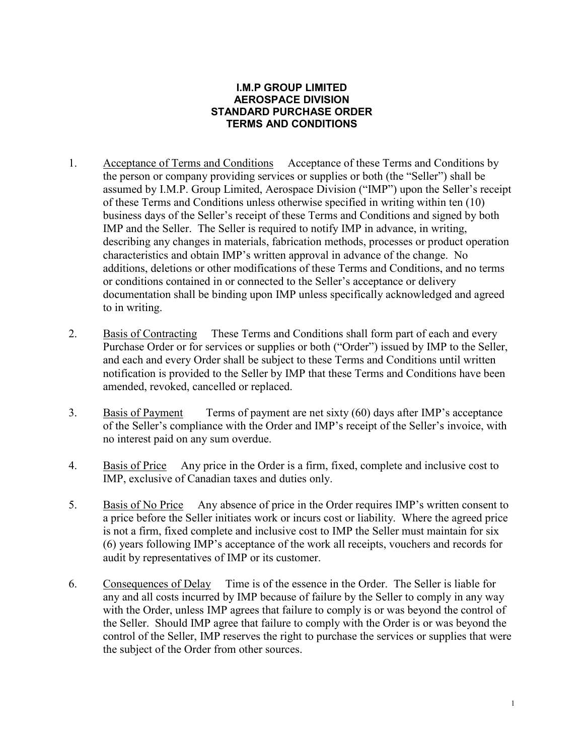## **I.M.P GROUP LIMITED AEROSPACE DIVISION STANDARD PURCHASE ORDER TERMS AND CONDITIONS**

- 1. Acceptance of Terms and Conditions Acceptance of these Terms and Conditions by the person or company providing services or supplies or both (the "Seller") shall be assumed by I.M.P. Group Limited, Aerospace Division ("IMP") upon the Seller's receipt of these Terms and Conditions unless otherwise specified in writing within ten (10) business days of the Seller's receipt of these Terms and Conditions and signed by both IMP and the Seller. The Seller is required to notify IMP in advance, in writing, describing any changes in materials, fabrication methods, processes or product operation characteristics and obtain IMP's written approval in advance of the change. No additions, deletions or other modifications of these Terms and Conditions, and no terms or conditions contained in or connected to the Seller's acceptance or delivery documentation shall be binding upon IMP unless specifically acknowledged and agreed to in writing.
- 2. Basis of Contracting These Terms and Conditions shall form part of each and every Purchase Order or for services or supplies or both ("Order") issued by IMP to the Seller, and each and every Order shall be subject to these Terms and Conditions until written notification is provided to the Seller by IMP that these Terms and Conditions have been amended, revoked, cancelled or replaced.
- 3. Basis of Payment Terms of payment are net sixty (60) days after IMP's acceptance of the Seller's compliance with the Order and IMP's receipt of the Seller's invoice, with no interest paid on any sum overdue.
- 4. Basis of Price Any price in the Order is a firm, fixed, complete and inclusive cost to IMP, exclusive of Canadian taxes and duties only.
- 5. Basis of No Price Any absence of price in the Order requires IMP's written consent to a price before the Seller initiates work or incurs cost or liability. Where the agreed price is not a firm, fixed complete and inclusive cost to IMP the Seller must maintain for six (6) years following IMP's acceptance of the work all receipts, vouchers and records for audit by representatives of IMP or its customer.
- 6. Consequences of Delay Time is of the essence in the Order. The Seller is liable for any and all costs incurred by IMP because of failure by the Seller to comply in any way with the Order, unless IMP agrees that failure to comply is or was beyond the control of the Seller. Should IMP agree that failure to comply with the Order is or was beyond the control of the Seller, IMP reserves the right to purchase the services or supplies that were the subject of the Order from other sources.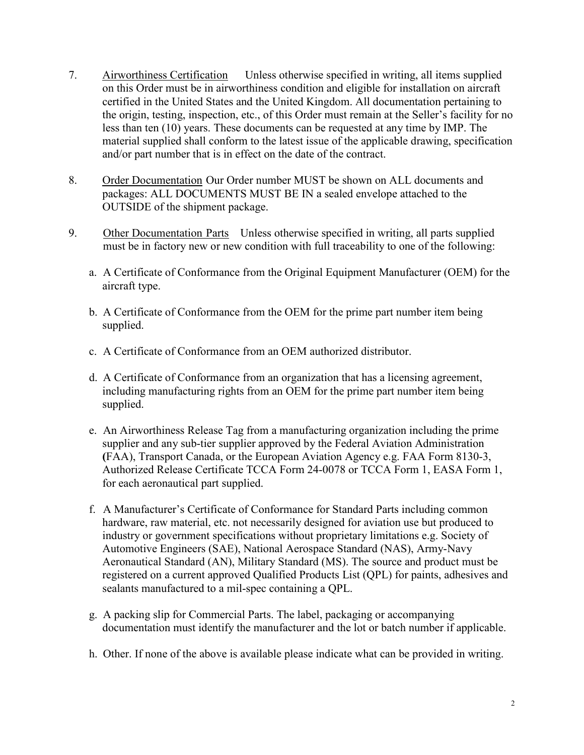- 7. Airworthiness Certification Unless otherwise specified in writing, all items supplied on this Order must be in airworthiness condition and eligible for installation on aircraft certified in the United States and the United Kingdom. All documentation pertaining to the origin, testing, inspection, etc., of this Order must remain at the Seller's facility for no less than ten (10) years. These documents can be requested at any time by IMP. The material supplied shall conform to the latest issue of the applicable drawing, specification and/or part number that is in effect on the date of the contract.
- 8. Order Documentation Our Order number MUST be shown on ALL documents and packages: ALL DOCUMENTS MUST BE IN a sealed envelope attached to the OUTSIDE of the shipment package.
- 9. Other Documentation Parts Unless otherwise specified in writing, all parts supplied must be in factory new or new condition with full traceability to one of the following:
	- a. A Certificate of Conformance from the Original Equipment Manufacturer (OEM) for the aircraft type.
	- b. A Certificate of Conformance from the OEM for the prime part number item being supplied.
	- c. A Certificate of Conformance from an OEM authorized distributor.
	- d. A Certificate of Conformance from an organization that has a licensing agreement, including manufacturing rights from an OEM for the prime part number item being supplied.
	- e. An Airworthiness Release Tag from a manufacturing organization including the prime supplier and any sub-tier supplier approved by the Federal Aviation Administration **(**FAA), Transport Canada, or the European Aviation Agency e.g. FAA Form 8130-3, Authorized Release Certificate TCCA Form 24-0078 or TCCA Form 1, EASA Form 1, for each aeronautical part supplied.
	- f. A Manufacturer's Certificate of Conformance for Standard Parts including common hardware, raw material, etc. not necessarily designed for aviation use but produced to industry or government specifications without proprietary limitations e.g. Society of Automotive Engineers (SAE), National Aerospace Standard (NAS), Army-Navy Aeronautical Standard (AN), Military Standard (MS). The source and product must be registered on a current approved Qualified Products List (QPL) for paints, adhesives and sealants manufactured to a mil-spec containing a QPL.
	- g. A packing slip for Commercial Parts. The label, packaging or accompanying documentation must identify the manufacturer and the lot or batch number if applicable.
	- h. Other. If none of the above is available please indicate what can be provided in writing.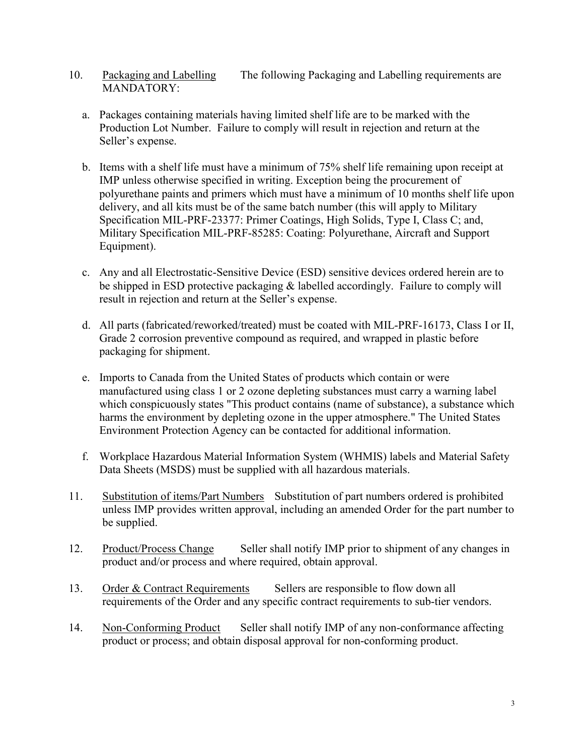- 10. Packaging and Labelling The following Packaging and Labelling requirements are MANDATORY:
	- a. Packages containing materials having limited shelf life are to be marked with the Production Lot Number. Failure to comply will result in rejection and return at the Seller's expense.
	- b. Items with a shelf life must have a minimum of 75% shelf life remaining upon receipt at IMP unless otherwise specified in writing. Exception being the procurement of polyurethane paints and primers which must have a minimum of 10 months shelf life upon delivery, and all kits must be of the same batch number (this will apply to Military Specification MIL-PRF-23377: Primer Coatings, High Solids, Type I, Class C; and, Military Specification MIL-PRF-85285: Coating: Polyurethane, Aircraft and Support Equipment).
	- c. Any and all Electrostatic-Sensitive Device (ESD) sensitive devices ordered herein are to be shipped in ESD protective packaging & labelled accordingly. Failure to comply will result in rejection and return at the Seller's expense.
	- d. All parts (fabricated/reworked/treated) must be coated with MIL-PRF-16173, Class I or II, Grade 2 corrosion preventive compound as required, and wrapped in plastic before packaging for shipment.
	- e. Imports to Canada from the United States of products which contain or were manufactured using class 1 or 2 ozone depleting substances must carry a warning label which conspicuously states "This product contains (name of substance), a substance which harms the environment by depleting ozone in the upper atmosphere." The United States Environment Protection Agency can be contacted for additional information.
	- f. Workplace Hazardous Material Information System (WHMIS) labels and Material Safety Data Sheets (MSDS) must be supplied with all hazardous materials.
- 11. Substitution of items/Part Numbers Substitution of part numbers ordered is prohibited unless IMP provides written approval, including an amended Order for the part number to be supplied.
- 12. Product/Process Change Seller shall notify IMP prior to shipment of any changes in product and/or process and where required, obtain approval.
- 13. Order & Contract Requirements Sellers are responsible to flow down all requirements of the Order and any specific contract requirements to sub-tier vendors.
- 14. Non-Conforming Product Seller shall notify IMP of any non-conformance affecting product or process; and obtain disposal approval for non-conforming product.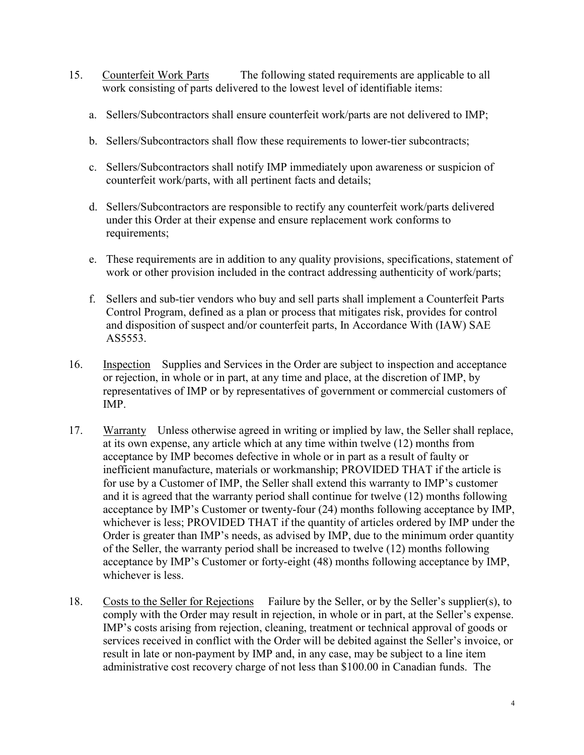- 15. Counterfeit Work Parts The following stated requirements are applicable to all work consisting of parts delivered to the lowest level of identifiable items:
	- a. Sellers/Subcontractors shall ensure counterfeit work/parts are not delivered to IMP;
	- b. Sellers/Subcontractors shall flow these requirements to lower-tier subcontracts;
	- c. Sellers/Subcontractors shall notify IMP immediately upon awareness or suspicion of counterfeit work/parts, with all pertinent facts and details;
	- d. Sellers/Subcontractors are responsible to rectify any counterfeit work/parts delivered under this Order at their expense and ensure replacement work conforms to requirements;
	- e. These requirements are in addition to any quality provisions, specifications, statement of work or other provision included in the contract addressing authenticity of work/parts;
	- f. Sellers and sub-tier vendors who buy and sell parts shall implement a Counterfeit Parts Control Program, defined as a plan or process that mitigates risk, provides for control and disposition of suspect and/or counterfeit parts, In Accordance With (IAW) SAE AS5553.
- 16. Inspection Supplies and Services in the Order are subject to inspection and acceptance or rejection, in whole or in part, at any time and place, at the discretion of IMP, by representatives of IMP or by representatives of government or commercial customers of IMP.
- 17. Warranty Unless otherwise agreed in writing or implied by law, the Seller shall replace, at its own expense, any article which at any time within twelve (12) months from acceptance by IMP becomes defective in whole or in part as a result of faulty or inefficient manufacture, materials or workmanship; PROVIDED THAT if the article is for use by a Customer of IMP, the Seller shall extend this warranty to IMP's customer and it is agreed that the warranty period shall continue for twelve (12) months following acceptance by IMP's Customer or twenty-four (24) months following acceptance by IMP, whichever is less; PROVIDED THAT if the quantity of articles ordered by IMP under the Order is greater than IMP's needs, as advised by IMP, due to the minimum order quantity of the Seller, the warranty period shall be increased to twelve (12) months following acceptance by IMP's Customer or forty-eight (48) months following acceptance by IMP, whichever is less.
- 18. Costs to the Seller for Rejections Failure by the Seller, or by the Seller's supplier(s), to comply with the Order may result in rejection, in whole or in part, at the Seller's expense. IMP's costs arising from rejection, cleaning, treatment or technical approval of goods or services received in conflict with the Order will be debited against the Seller's invoice, or result in late or non-payment by IMP and, in any case, may be subject to a line item administrative cost recovery charge of not less than \$100.00 in Canadian funds. The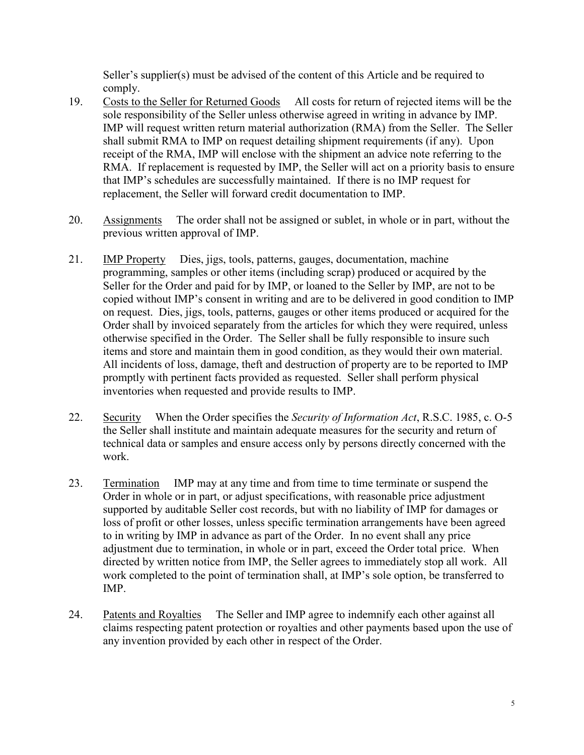Seller's supplier(s) must be advised of the content of this Article and be required to comply.

- 19. Costs to the Seller for Returned Goods All costs for return of rejected items will be the sole responsibility of the Seller unless otherwise agreed in writing in advance by IMP. IMP will request written return material authorization (RMA) from the Seller. The Seller shall submit RMA to IMP on request detailing shipment requirements (if any). Upon receipt of the RMA, IMP will enclose with the shipment an advice note referring to the RMA. If replacement is requested by IMP, the Seller will act on a priority basis to ensure that IMP's schedules are successfully maintained. If there is no IMP request for replacement, the Seller will forward credit documentation to IMP.
- 20. Assignments The order shall not be assigned or sublet, in whole or in part, without the previous written approval of IMP.
- 21. IMP Property Dies, jigs, tools, patterns, gauges, documentation, machine programming, samples or other items (including scrap) produced or acquired by the Seller for the Order and paid for by IMP, or loaned to the Seller by IMP, are not to be copied without IMP's consent in writing and are to be delivered in good condition to IMP on request. Dies, jigs, tools, patterns, gauges or other items produced or acquired for the Order shall by invoiced separately from the articles for which they were required, unless otherwise specified in the Order. The Seller shall be fully responsible to insure such items and store and maintain them in good condition, as they would their own material. All incidents of loss, damage, theft and destruction of property are to be reported to IMP promptly with pertinent facts provided as requested. Seller shall perform physical inventories when requested and provide results to IMP.
- 22. Security When the Order specifies the *Security of Information Act*, R.S.C. 1985, c. O-5 the Seller shall institute and maintain adequate measures for the security and return of technical data or samples and ensure access only by persons directly concerned with the work.
- 23. Termination IMP may at any time and from time to time terminate or suspend the Order in whole or in part, or adjust specifications, with reasonable price adjustment supported by auditable Seller cost records, but with no liability of IMP for damages or loss of profit or other losses, unless specific termination arrangements have been agreed to in writing by IMP in advance as part of the Order. In no event shall any price adjustment due to termination, in whole or in part, exceed the Order total price. When directed by written notice from IMP, the Seller agrees to immediately stop all work. All work completed to the point of termination shall, at IMP's sole option, be transferred to IMP.
- 24. Patents and Royalties The Seller and IMP agree to indemnify each other against all claims respecting patent protection or royalties and other payments based upon the use of any invention provided by each other in respect of the Order.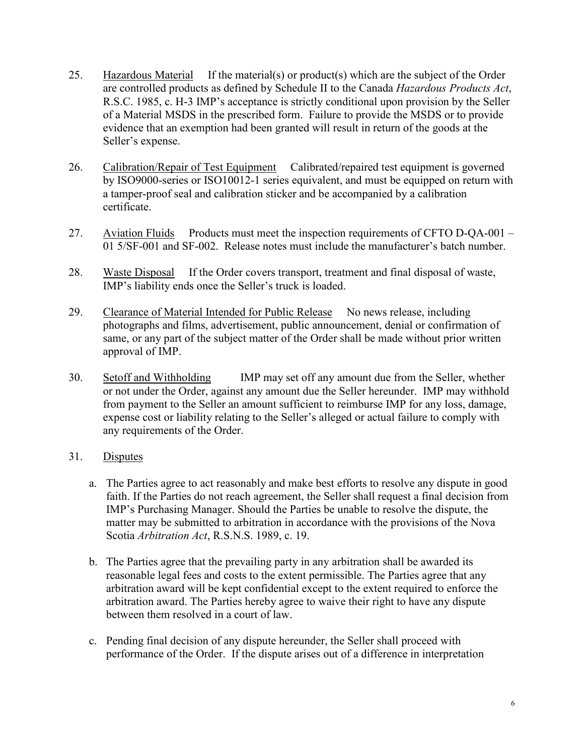- 25. Hazardous Material If the material(s) or product(s) which are the subject of the Order are controlled products as defined by Schedule II to the Canada *Hazardous Products Act*, R.S.C. 1985, c. H-3 IMP's acceptance is strictly conditional upon provision by the Seller of a Material MSDS in the prescribed form. Failure to provide the MSDS or to provide evidence that an exemption had been granted will result in return of the goods at the Seller's expense.
- 26. Calibration/Repair of Test Equipment Calibrated/repaired test equipment is governed by ISO9000-series or ISO10012-1 series equivalent, and must be equipped on return with a tamper-proof seal and calibration sticker and be accompanied by a calibration certificate.
- 27. Aviation Fluids Products must meet the inspection requirements of CFTO D-QA-001 01 5/SF-001 and SF-002. Release notes must include the manufacturer's batch number.
- 28. Waste Disposal If the Order covers transport, treatment and final disposal of waste, IMP's liability ends once the Seller's truck is loaded.
- 29. Clearance of Material Intended for Public Release No news release, including photographs and films, advertisement, public announcement, denial or confirmation of same, or any part of the subject matter of the Order shall be made without prior written approval of IMP.
- 30. Setoff and Withholding IMP may set off any amount due from the Seller, whether or not under the Order, against any amount due the Seller hereunder. IMP may withhold from payment to the Seller an amount sufficient to reimburse IMP for any loss, damage, expense cost or liability relating to the Seller's alleged or actual failure to comply with any requirements of the Order.
- 31. Disputes
	- a. The Parties agree to act reasonably and make best efforts to resolve any dispute in good faith. If the Parties do not reach agreement, the Seller shall request a final decision from IMP's Purchasing Manager. Should the Parties be unable to resolve the dispute, the matter may be submitted to arbitration in accordance with the provisions of the Nova Scotia *Arbitration Act*, R.S.N.S. 1989, c. 19.
	- b. The Parties agree that the prevailing party in any arbitration shall be awarded its reasonable legal fees and costs to the extent permissible. The Parties agree that any arbitration award will be kept confidential except to the extent required to enforce the arbitration award. The Parties hereby agree to waive their right to have any dispute between them resolved in a court of law.
	- c. Pending final decision of any dispute hereunder, the Seller shall proceed with performance of the Order. If the dispute arises out of a difference in interpretation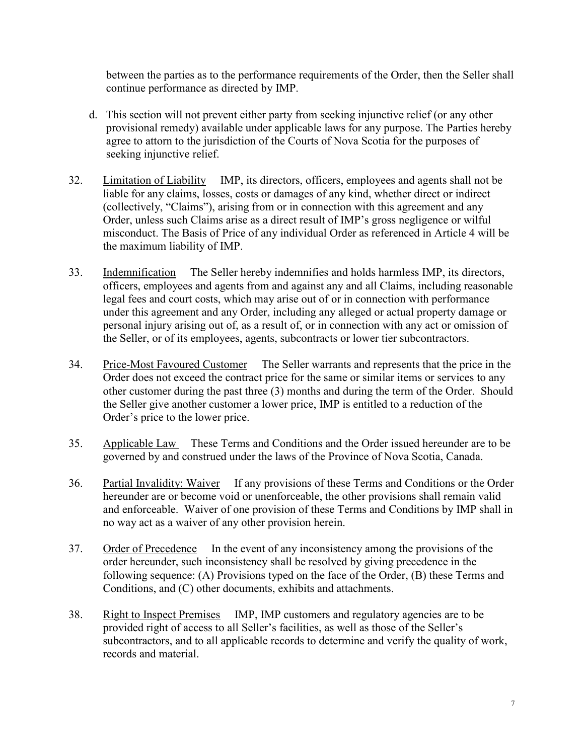between the parties as to the performance requirements of the Order, then the Seller shall continue performance as directed by IMP.

- d. This section will not prevent either party from seeking injunctive relief (or any other provisional remedy) available under applicable laws for any purpose. The Parties hereby agree to attorn to the jurisdiction of the Courts of Nova Scotia for the purposes of seeking injunctive relief.
- 32. Limitation of Liability IMP, its directors, officers, employees and agents shall not be liable for any claims, losses, costs or damages of any kind, whether direct or indirect (collectively, "Claims"), arising from or in connection with this agreement and any Order, unless such Claims arise as a direct result of IMP's gross negligence or wilful misconduct. The Basis of Price of any individual Order as referenced in Article 4 will be the maximum liability of IMP.
- 33. Indemnification The Seller hereby indemnifies and holds harmless IMP, its directors, officers, employees and agents from and against any and all Claims, including reasonable legal fees and court costs, which may arise out of or in connection with performance under this agreement and any Order, including any alleged or actual property damage or personal injury arising out of, as a result of, or in connection with any act or omission of the Seller, or of its employees, agents, subcontracts or lower tier subcontractors.
- 34. Price-Most Favoured Customer The Seller warrants and represents that the price in the Order does not exceed the contract price for the same or similar items or services to any other customer during the past three (3) months and during the term of the Order. Should the Seller give another customer a lower price, IMP is entitled to a reduction of the Order's price to the lower price.
- 35. Applicable Law These Terms and Conditions and the Order issued hereunder are to be governed by and construed under the laws of the Province of Nova Scotia, Canada.
- 36. Partial Invalidity: Waiver If any provisions of these Terms and Conditions or the Order hereunder are or become void or unenforceable, the other provisions shall remain valid and enforceable. Waiver of one provision of these Terms and Conditions by IMP shall in no way act as a waiver of any other provision herein.
- 37. Order of Precedence In the event of any inconsistency among the provisions of the order hereunder, such inconsistency shall be resolved by giving precedence in the following sequence: (A) Provisions typed on the face of the Order, (B) these Terms and Conditions, and (C) other documents, exhibits and attachments.
- 38. Right to Inspect Premises IMP, IMP customers and regulatory agencies are to be provided right of access to all Seller's facilities, as well as those of the Seller's subcontractors, and to all applicable records to determine and verify the quality of work, records and material.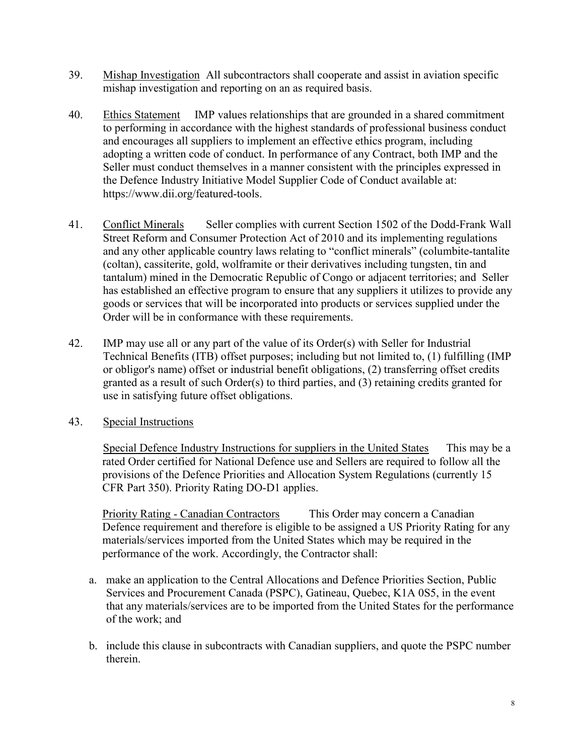- 39. Mishap Investigation All subcontractors shall cooperate and assist in aviation specific mishap investigation and reporting on an as required basis.
- 40. Ethics Statement IMP values relationships that are grounded in a shared commitment to performing in accordance with the highest standards of professional business conduct and encourages all suppliers to implement an effective ethics program, including adopting a written code of conduct. In performance of any Contract, both IMP and the Seller must conduct themselves in a manner consistent with the principles expressed in the Defence Industry Initiative Model Supplier Code of Conduct available at: [https://www.dii.org/featured-tools.](https://www.dii.org/featured-tools)
- 41. Conflict Minerals Seller complies with current Section 1502 of the Dodd-Frank Wall Street Reform and Consumer Protection Act of 2010 and its implementing regulations and any other applicable country laws relating to "conflict minerals" (columbite-tantalite (coltan), cassiterite, gold, wolframite or their derivatives including tungsten, tin and tantalum) mined in the Democratic Republic of Congo or adjacent territories; and Seller has established an effective program to ensure that any suppliers it utilizes to provide any goods or services that will be incorporated into products or services supplied under the Order will be in conformance with these requirements.
- 42. IMP may use all or any part of the value of its Order(s) with Seller for Industrial Technical Benefits (ITB) offset purposes; including but not limited to, (1) fulfilling (IMP or obligor's name) offset or industrial benefit obligations, (2) transferring offset credits granted as a result of such Order(s) to third parties, and (3) retaining credits granted for use in satisfying future offset obligations.
- 43. Special Instructions

Special Defence Industry Instructions for suppliers in the United States This may be a rated Order certified for National Defence use and Sellers are required to follow all the provisions of the Defence Priorities and Allocation System Regulations (currently 15 CFR Part 350). Priority Rating DO-D1 applies.

Priority Rating - Canadian Contractors This Order may concern a Canadian Defence requirement and therefore is eligible to be assigned a US Priority Rating for any materials/services imported from the United States which may be required in the performance of the work. Accordingly, the Contractor shall:

- a. make an application to the Central Allocations and Defence Priorities Section, Public Services and Procurement Canada (PSPC), Gatineau, Quebec, K1A 0S5, in the event that any materials/services are to be imported from the United States for the performance of the work; and
- b. include this clause in subcontracts with Canadian suppliers, and quote the PSPC number therein.